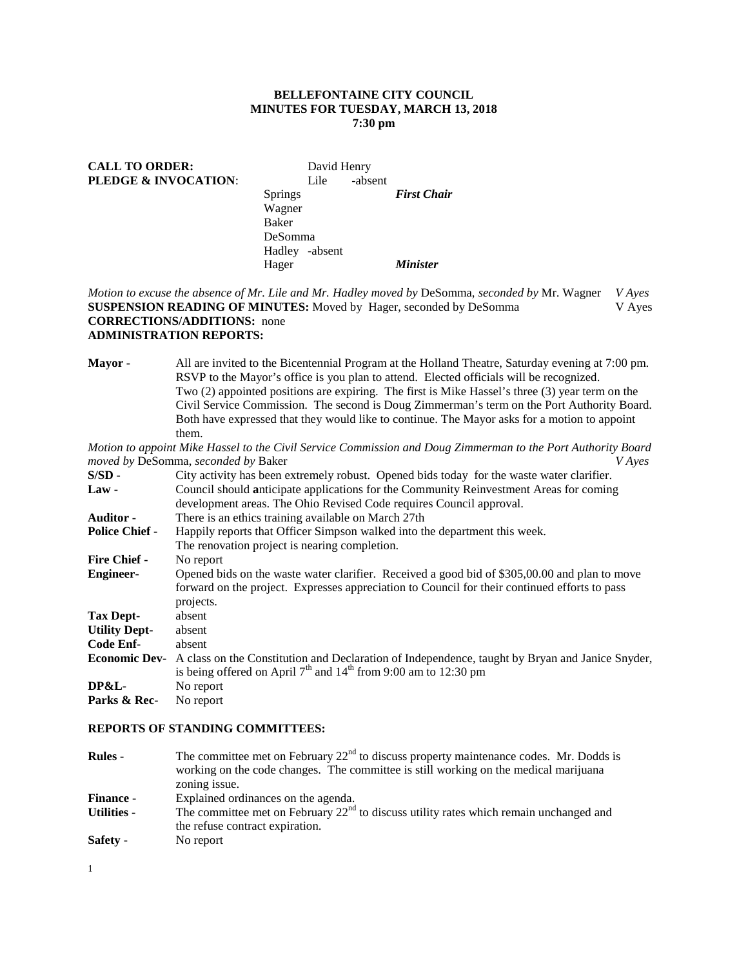## **BELLEFONTAINE CITY COUNCIL MINUTES FOR TUESDAY, MARCH 13, 2018 7:30 pm**

# CALL TO ORDER: David Henry **PLEDGE & INVOCATION:** Lile -absent Springs *First Chair* Wagner Baker DeSomma Hadley -absent Hager *Minister*

*Motion to excuse the absence of Mr. Lile and Mr. Hadley moved by* DeSomma, *seconded by* Mr. Wagner *V Ayes* **SUSPENSION READING OF MINUTES:** Moved by Hager, seconded by DeSomma V Ayes **CORRECTIONS/ADDITIONS:** none **ADMINISTRATION REPORTS:**

**Mayor -** All are invited to the Bicentennial Program at the Holland Theatre, Saturday evening at 7:00 pm. RSVP to the Mayor's office is you plan to attend. Elected officials will be recognized. Two (2) appointed positions are expiring. The first is Mike Hassel's three (3) year term on the Civil Service Commission. The second is Doug Zimmerman's term on the Port Authority Board. Both have expressed that they would like to continue. The Mayor asks for a motion to appoint them.

*Motion to appoint Mike Hassel to the Civil Service Commission and Doug Zimmerman to the Port Authority Board moved by* DeSomma, *seconded by* Baker *V Ayes*

| $S/SD -$              | City activity has been extremely robust. Opened bids today for the waste water clarifier.                                                                                                      |
|-----------------------|------------------------------------------------------------------------------------------------------------------------------------------------------------------------------------------------|
| $Law -$               | Council should anticipate applications for the Community Reinvestment Areas for coming                                                                                                         |
|                       | development areas. The Ohio Revised Code requires Council approval.                                                                                                                            |
| <b>Auditor</b> -      | There is an ethics training available on March 27th                                                                                                                                            |
| <b>Police Chief -</b> | Happily reports that Officer Simpson walked into the department this week.                                                                                                                     |
|                       | The renovation project is nearing completion.                                                                                                                                                  |
| <b>Fire Chief -</b>   | No report                                                                                                                                                                                      |
| <b>Engineer-</b>      | Opened bids on the waste water clarifier. Received a good bid of \$305,00.00 and plan to move<br>forward on the project. Expresses appreciation to Council for their continued efforts to pass |
|                       | projects.                                                                                                                                                                                      |
| Tax Dept-             | absent                                                                                                                                                                                         |
| <b>Utility Dept-</b>  | absent                                                                                                                                                                                         |
| Code Enf-             | absent                                                                                                                                                                                         |
|                       | <b>Economic Dev-</b> A class on the Constitution and Declaration of Independence, taught by Bryan and Janice Snyder,<br>is being offered on April $7th$ and $14th$ from 9:00 am to 12:30 pm    |
| DP&L                  | No report                                                                                                                                                                                      |
| Parks & Rec-          | No report                                                                                                                                                                                      |

#### **REPORTS OF STANDING COMMITTEES:**

| <b>Rules -</b>     | The committee met on February $22nd$ to discuss property maintenance codes. Mr. Dodds is                                    |
|--------------------|-----------------------------------------------------------------------------------------------------------------------------|
|                    | working on the code changes. The committee is still working on the medical marijuana                                        |
|                    | zoning issue.                                                                                                               |
| <b>Finance -</b>   | Explained ordinances on the agenda.                                                                                         |
| <b>Utilities -</b> | The committee met on February $22nd$ to discuss utility rates which remain unchanged and<br>the refuse contract expiration. |
| Safety -           | No report                                                                                                                   |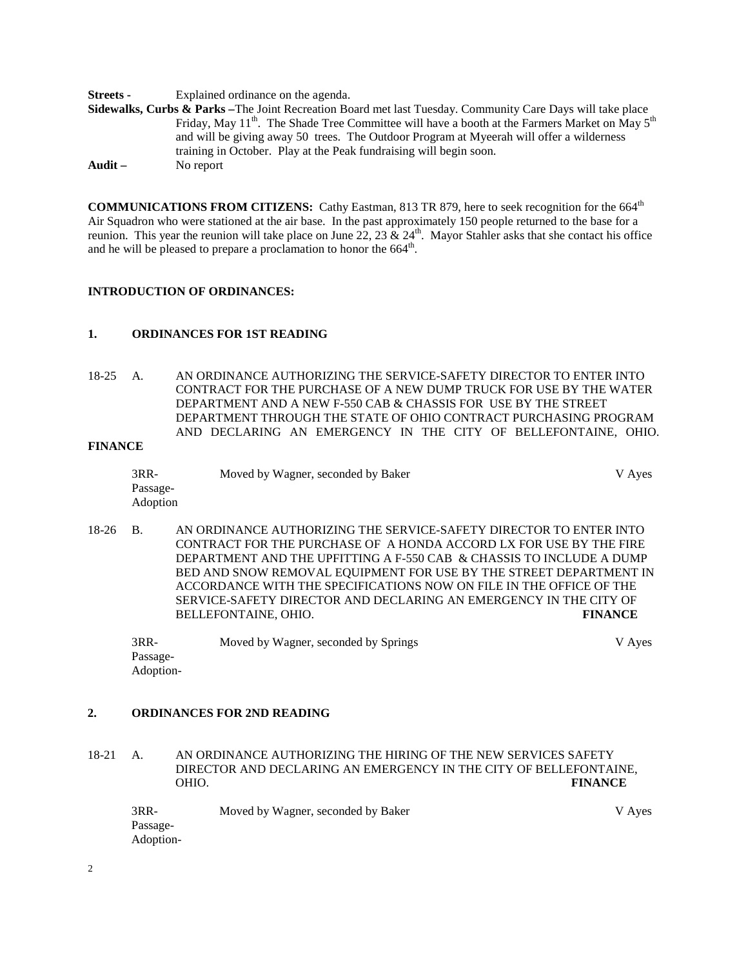**Streets -** Explained ordinance on the agenda.

**Sidewalks, Curbs & Parks –**The Joint Recreation Board met last Tuesday. Community Care Days will take place Friday, May  $11<sup>th</sup>$ . The Shade Tree Committee will have a booth at the Farmers Market on May  $5<sup>th</sup>$ and will be giving away 50 trees. The Outdoor Program at Myeerah will offer a wilderness training in October. Play at the Peak fundraising will begin soon. **Audit –** No report

**COMMUNICATIONS FROM CITIZENS:** Cathy Eastman, 813 TR 879, here to seek recognition for the 664<sup>th</sup> Air Squadron who were stationed at the air base. In the past approximately 150 people returned to the base for a reunion. This year the reunion will take place on June 22, 23  $\&$  24<sup>th</sup>. Mayor Stahler asks that she contact his office and he will be pleased to prepare a proclamation to honor the  $664^{\text{th}}$ .

### **INTRODUCTION OF ORDINANCES:**

### **1. ORDINANCES FOR 1ST READING**

18-25 A. AN ORDINANCE AUTHORIZING THE SERVICE-SAFETY DIRECTOR TO ENTER INTO CONTRACT FOR THE PURCHASE OF A NEW DUMP TRUCK FOR USE BY THE WATER DEPARTMENT AND A NEW F-550 CAB & CHASSIS FOR USE BY THE STREET DEPARTMENT THROUGH THE STATE OF OHIO CONTRACT PURCHASING PROGRAM AND DECLARING AN EMERGENCY IN THE CITY OF BELLEFONTAINE, OHIO.

# **FINANCE**

| 3RR-     | Moved by Wagner, seconded by Baker | V Ayes |
|----------|------------------------------------|--------|
| Passage- |                                    |        |
| Adoption |                                    |        |

18-26 B. AN ORDINANCE AUTHORIZING THE SERVICE-SAFETY DIRECTOR TO ENTER INTO CONTRACT FOR THE PURCHASE OF A HONDA ACCORD LX FOR USE BY THE FIRE DEPARTMENT AND THE UPFITTING A F-550 CAB & CHASSIS TO INCLUDE A DUMP BED AND SNOW REMOVAL EQUIPMENT FOR USE BY THE STREET DEPARTMENT IN ACCORDANCE WITH THE SPECIFICATIONS NOW ON FILE IN THE OFFICE OF THE SERVICE-SAFETY DIRECTOR AND DECLARING AN EMERGENCY IN THE CITY OF RELI EFONTAINE OHIO BELLEFONTAINE, OHIO.

3RR- Moved by Wagner, seconded by Springs V Ayes Passage-Adoption-

### **2. ORDINANCES FOR 2ND READING**

18-21 A. AN ORDINANCE AUTHORIZING THE HIRING OF THE NEW SERVICES SAFETY DIRECTOR AND DECLARING AN EMERGENCY IN THE CITY OF BELLEFONTAINE, OHIO. **FINANCE**

| $3RR-$    | Moved by Wagner, seconded by Baker | V Ayes |
|-----------|------------------------------------|--------|
| Passage-  |                                    |        |
| Adoption- |                                    |        |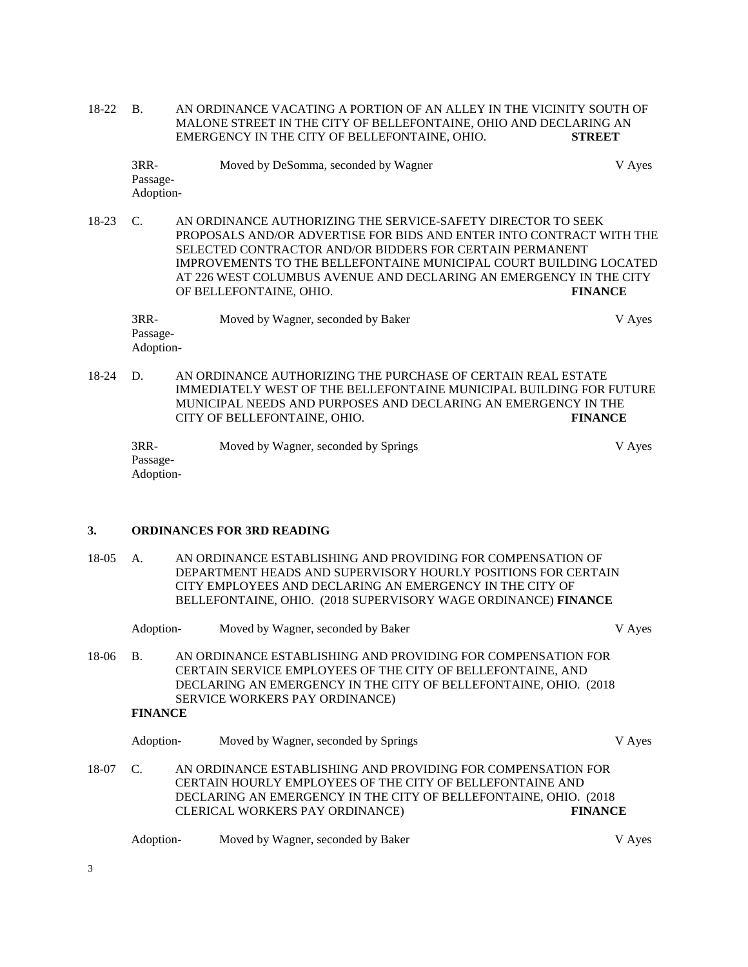18-22 B. AN ORDINANCE VACATING A PORTION OF AN ALLEY IN THE VICINITY SOUTH OF MALONE STREET IN THE CITY OF BELLEFONTAINE, OHIO AND DECLARING AN EMERGENCY IN THE CITY OF BELLEFONTAINE, OHIO. **STREET**

| 3RR-      | Moved by DeSomma, seconded by Wagner | V Aves |
|-----------|--------------------------------------|--------|
| Passage-  |                                      |        |
| Adoption- |                                      |        |

18-23 C. AN ORDINANCE AUTHORIZING THE SERVICE-SAFETY DIRECTOR TO SEEK PROPOSALS AND/OR ADVERTISE FOR BIDS AND ENTER INTO CONTRACT WITH THE SELECTED CONTRACTOR AND/OR BIDDERS FOR CERTAIN PERMANENT IMPROVEMENTS TO THE BELLEFONTAINE MUNICIPAL COURT BUILDING LOCATED AT 226 WEST COLUMBUS AVENUE AND DECLARING AN EMERGENCY IN THE CITY OF BELLEFONTAINE, OHIO. **FINANCE**

| 3RR-      | Moved by Wagner, seconded by Baker | V Aves |
|-----------|------------------------------------|--------|
| Passage-  |                                    |        |
| Adoption- |                                    |        |

18-24 D. AN ORDINANCE AUTHORIZING THE PURCHASE OF CERTAIN REAL ESTATE IMMEDIATELY WEST OF THE BELLEFONTAINE MUNICIPAL BUILDING FOR FUTURE MUNICIPAL NEEDS AND PURPOSES AND DECLARING AN EMERGENCY IN THE CITY OF BELLEFONTAINE, OHIO. **FINANCE**

| $3RR-$    | Moved by Wagner, seconded by Springs | V Aves |
|-----------|--------------------------------------|--------|
| Passage-  |                                      |        |
| Adoption- |                                      |        |

#### **3. ORDINANCES FOR 3RD READING**

18-05 A. AN ORDINANCE ESTABLISHING AND PROVIDING FOR COMPENSATION OF DEPARTMENT HEADS AND SUPERVISORY HOURLY POSITIONS FOR CERTAIN CITY EMPLOYEES AND DECLARING AN EMERGENCY IN THE CITY OF BELLEFONTAINE, OHIO. (2018 SUPERVISORY WAGE ORDINANCE) **FINANCE**

|         | Adoption-      | Moved by Wagner, seconded by Baker                                                                                                                                                               | V Ayes         |
|---------|----------------|--------------------------------------------------------------------------------------------------------------------------------------------------------------------------------------------------|----------------|
| $18-06$ | <b>B.</b>      | AN ORDINANCE ESTABLISHING AND PROVIDING FOR COMPENSATION FOR<br>CERTAIN SERVICE EMPLOYEES OF THE CITY OF BELLEFONTAINE, AND<br>DECLARING AN EMERGENCY IN THE CITY OF BELLEFONTAINE, OHIO. (2018) |                |
|         |                | SERVICE WORKERS PAY ORDINANCE)                                                                                                                                                                   |                |
|         | <b>FINANCE</b> |                                                                                                                                                                                                  |                |
|         | Adoption-      | Moved by Wagner, seconded by Springs                                                                                                                                                             | V Ayes         |
| 18-07   | C.             | AN ORDINANCE ESTABLISHING AND PROVIDING FOR COMPENSATION FOR                                                                                                                                     |                |
|         |                | CERTAIN HOURLY EMPLOYEES OF THE CITY OF BELLEFONTAINE AND                                                                                                                                        |                |
|         |                | DECLARING AN EMERGENCY IN THE CITY OF BELLEFONTAINE, OHIO. (2018)                                                                                                                                |                |
|         |                | CLERICAL WORKERS PAY ORDINANCE)                                                                                                                                                                  | <b>FINANCE</b> |
|         | Adoption-      | Moved by Wagner, seconded by Baker                                                                                                                                                               | V Ayes         |

3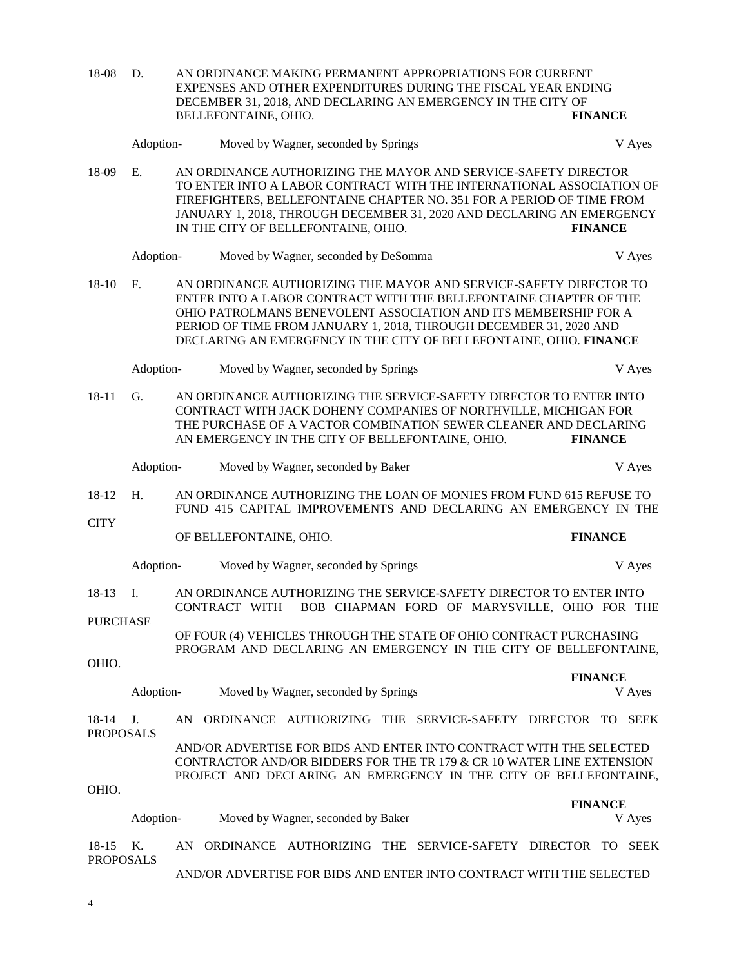| 18-08                         | D.                                                                                                                                                                                                                                                                  |                                                                                                                                        | AN ORDINANCE MAKING PERMANENT APPROPRIATIONS FOR CURRENT<br>EXPENSES AND OTHER EXPENDITURES DURING THE FISCAL YEAR ENDING<br>DECEMBER 31, 2018, AND DECLARING AN EMERGENCY IN THE CITY OF |                                                                                                                                                                                                                                                                                                                                                       |  |                |  |  |                |        |  |
|-------------------------------|---------------------------------------------------------------------------------------------------------------------------------------------------------------------------------------------------------------------------------------------------------------------|----------------------------------------------------------------------------------------------------------------------------------------|-------------------------------------------------------------------------------------------------------------------------------------------------------------------------------------------|-------------------------------------------------------------------------------------------------------------------------------------------------------------------------------------------------------------------------------------------------------------------------------------------------------------------------------------------------------|--|----------------|--|--|----------------|--------|--|
|                               |                                                                                                                                                                                                                                                                     |                                                                                                                                        | BELLEFONTAINE, OHIO.                                                                                                                                                                      |                                                                                                                                                                                                                                                                                                                                                       |  |                |  |  | <b>FINANCE</b> |        |  |
|                               | Adoption-                                                                                                                                                                                                                                                           |                                                                                                                                        |                                                                                                                                                                                           | Moved by Wagner, seconded by Springs                                                                                                                                                                                                                                                                                                                  |  |                |  |  |                | V Ayes |  |
| 18-09                         | E.                                                                                                                                                                                                                                                                  |                                                                                                                                        |                                                                                                                                                                                           | AN ORDINANCE AUTHORIZING THE MAYOR AND SERVICE-SAFETY DIRECTOR<br>TO ENTER INTO A LABOR CONTRACT WITH THE INTERNATIONAL ASSOCIATION OF<br>FIREFIGHTERS, BELLEFONTAINE CHAPTER NO. 351 FOR A PERIOD OF TIME FROM<br>JANUARY 1, 2018, THROUGH DECEMBER 31, 2020 AND DECLARING AN EMERGENCY<br>IN THE CITY OF BELLEFONTAINE, OHIO.                       |  |                |  |  | <b>FINANCE</b> |        |  |
|                               | Adoption-                                                                                                                                                                                                                                                           |                                                                                                                                        |                                                                                                                                                                                           | Moved by Wagner, seconded by DeSomma                                                                                                                                                                                                                                                                                                                  |  |                |  |  |                | V Ayes |  |
| $18 - 10$                     | F.                                                                                                                                                                                                                                                                  |                                                                                                                                        |                                                                                                                                                                                           | AN ORDINANCE AUTHORIZING THE MAYOR AND SERVICE-SAFETY DIRECTOR TO<br>ENTER INTO A LABOR CONTRACT WITH THE BELLEFONTAINE CHAPTER OF THE<br>OHIO PATROLMANS BENEVOLENT ASSOCIATION AND ITS MEMBERSHIP FOR A<br>PERIOD OF TIME FROM JANUARY 1, 2018, THROUGH DECEMBER 31, 2020 AND<br>DECLARING AN EMERGENCY IN THE CITY OF BELLEFONTAINE, OHIO. FINANCE |  |                |  |  |                |        |  |
|                               | Adoption-                                                                                                                                                                                                                                                           |                                                                                                                                        |                                                                                                                                                                                           | Moved by Wagner, seconded by Springs                                                                                                                                                                                                                                                                                                                  |  |                |  |  |                | V Ayes |  |
| $18 - 11$                     | AN ORDINANCE AUTHORIZING THE SERVICE-SAFETY DIRECTOR TO ENTER INTO<br>G.<br>CONTRACT WITH JACK DOHENY COMPANIES OF NORTHVILLE, MICHIGAN FOR<br>THE PURCHASE OF A VACTOR COMBINATION SEWER CLEANER AND DECLARING<br>AN EMERGENCY IN THE CITY OF BELLEFONTAINE, OHIO. |                                                                                                                                        |                                                                                                                                                                                           |                                                                                                                                                                                                                                                                                                                                                       |  | <b>FINANCE</b> |  |  |                |        |  |
|                               | Adoption-                                                                                                                                                                                                                                                           |                                                                                                                                        |                                                                                                                                                                                           | Moved by Wagner, seconded by Baker                                                                                                                                                                                                                                                                                                                    |  |                |  |  |                | V Ayes |  |
| 18-12                         | H.                                                                                                                                                                                                                                                                  | AN ORDINANCE AUTHORIZING THE LOAN OF MONIES FROM FUND 615 REFUSE TO<br>FUND 415 CAPITAL IMPROVEMENTS AND DECLARING AN EMERGENCY IN THE |                                                                                                                                                                                           |                                                                                                                                                                                                                                                                                                                                                       |  |                |  |  |                |        |  |
| <b>CITY</b>                   |                                                                                                                                                                                                                                                                     |                                                                                                                                        | OF BELLEFONTAINE, OHIO.                                                                                                                                                                   |                                                                                                                                                                                                                                                                                                                                                       |  |                |  |  | <b>FINANCE</b> |        |  |
|                               | Adoption-                                                                                                                                                                                                                                                           |                                                                                                                                        |                                                                                                                                                                                           | Moved by Wagner, seconded by Springs                                                                                                                                                                                                                                                                                                                  |  |                |  |  |                | V Ayes |  |
| 18-13                         | I.                                                                                                                                                                                                                                                                  |                                                                                                                                        | CONTRACT WITH                                                                                                                                                                             | AN ORDINANCE AUTHORIZING THE SERVICE-SAFETY DIRECTOR TO ENTER INTO<br>BOB CHAPMAN FORD OF MARYSVILLE, OHIO FOR THE                                                                                                                                                                                                                                    |  |                |  |  |                |        |  |
| <b>PURCHASE</b>               |                                                                                                                                                                                                                                                                     |                                                                                                                                        |                                                                                                                                                                                           |                                                                                                                                                                                                                                                                                                                                                       |  |                |  |  |                |        |  |
|                               |                                                                                                                                                                                                                                                                     |                                                                                                                                        |                                                                                                                                                                                           | OF FOUR (4) VEHICLES THROUGH THE STATE OF OHIO CONTRACT PURCHASING<br>PROGRAM AND DECLARING AN EMERGENCY IN THE CITY OF BELLEFONTAINE,                                                                                                                                                                                                                |  |                |  |  |                |        |  |
| OHIO.                         |                                                                                                                                                                                                                                                                     |                                                                                                                                        |                                                                                                                                                                                           |                                                                                                                                                                                                                                                                                                                                                       |  |                |  |  | <b>FINANCE</b> |        |  |
|                               | Adoption-                                                                                                                                                                                                                                                           |                                                                                                                                        |                                                                                                                                                                                           | Moved by Wagner, seconded by Springs                                                                                                                                                                                                                                                                                                                  |  |                |  |  |                | V Ayes |  |
| 18-14                         | J.                                                                                                                                                                                                                                                                  |                                                                                                                                        |                                                                                                                                                                                           | AN ORDINANCE AUTHORIZING THE SERVICE-SAFETY DIRECTOR TO SEEK                                                                                                                                                                                                                                                                                          |  |                |  |  |                |        |  |
| <b>PROPOSALS</b><br>OHIO.     |                                                                                                                                                                                                                                                                     |                                                                                                                                        |                                                                                                                                                                                           | AND/OR ADVERTISE FOR BIDS AND ENTER INTO CONTRACT WITH THE SELECTED<br>CONTRACTOR AND/OR BIDDERS FOR THE TR 179 & CR 10 WATER LINE EXTENSION<br>PROJECT AND DECLARING AN EMERGENCY IN THE CITY OF BELLEFONTAINE,                                                                                                                                      |  |                |  |  |                |        |  |
|                               |                                                                                                                                                                                                                                                                     |                                                                                                                                        |                                                                                                                                                                                           |                                                                                                                                                                                                                                                                                                                                                       |  |                |  |  | <b>FINANCE</b> |        |  |
|                               | Adoption-                                                                                                                                                                                                                                                           |                                                                                                                                        |                                                                                                                                                                                           | Moved by Wagner, seconded by Baker                                                                                                                                                                                                                                                                                                                    |  |                |  |  |                | V Ayes |  |
| $18 - 15$<br><b>PROPOSALS</b> | Κ.                                                                                                                                                                                                                                                                  |                                                                                                                                        |                                                                                                                                                                                           | AN ORDINANCE AUTHORIZING THE SERVICE-SAFETY DIRECTOR TO SEEK                                                                                                                                                                                                                                                                                          |  |                |  |  |                |        |  |
|                               |                                                                                                                                                                                                                                                                     |                                                                                                                                        |                                                                                                                                                                                           | AND/OR ADVERTISE FOR BIDS AND ENTER INTO CONTRACT WITH THE SELECTED                                                                                                                                                                                                                                                                                   |  |                |  |  |                |        |  |